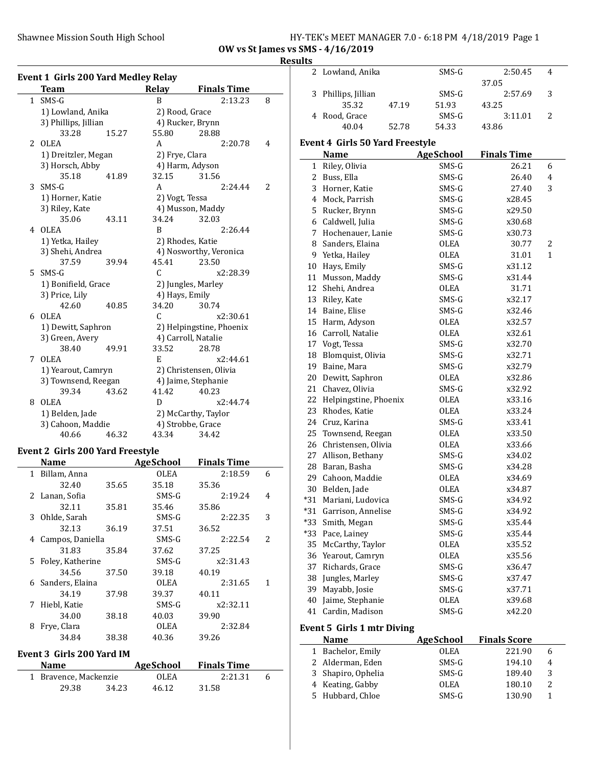### Shawnee Mission South High School HY-TEK's MEET MANAGER 7.0 - 6:18 PM 4/18/2019 Page 1 OW vs St James vs SMS - 4/16/2019

# Results

|              | Event 1 Girls 200 Yard Medley Relay |       |                |                          |   |
|--------------|-------------------------------------|-------|----------------|--------------------------|---|
|              | <b>Team</b>                         |       | Relay          | <b>Finals Time</b>       |   |
| $\mathbf{1}$ | $SMS-G$                             |       | B              | 2:13.23                  | 8 |
|              | 1) Lowland, Anika                   |       | 2) Rood, Grace |                          |   |
|              | 3) Phillips, Jillian                |       |                | 4) Rucker, Brynn         |   |
|              | 33.28                               | 15.27 | 55.80          | 28.88                    |   |
| 2            | <b>OLEA</b>                         |       | A              | 2:20.78                  | 4 |
|              | 1) Dreitzler, Megan                 |       | 2) Frye, Clara |                          |   |
|              | 3) Horsch, Abby                     |       |                | 4) Harm, Adyson          |   |
|              | 35.18                               | 41.89 | 32.15          | 31.56                    |   |
| 3            | $SMS-G$                             |       | A              | 2:24.44                  | 2 |
|              | 1) Horner, Katie                    |       | 2) Vogt, Tessa |                          |   |
|              | 3) Riley, Kate                      |       |                | 4) Musson, Maddy         |   |
|              | 35.06                               | 43.11 | 34.24          | 32.03                    |   |
| 4            | <b>OLEA</b>                         |       | B              | 2:26.44                  |   |
|              | 1) Yetka, Hailey                    |       |                | 2) Rhodes, Katie         |   |
|              | 3) Shehi, Andrea                    |       |                | 4) Nosworthy, Veronica   |   |
|              | 37.59                               | 39.94 | 45.41          | 23.50                    |   |
| 5            | SMS-G                               |       | C              | x2:28.39                 |   |
|              | 1) Bonifield, Grace                 |       |                | 2) Jungles, Marley       |   |
|              | 3) Price, Lily                      |       | 4) Hays, Emily |                          |   |
|              | 42.60                               | 40.85 | 34.20          | 30.74                    |   |
| 6            | <b>OLEA</b>                         |       | C              | x2:30.61                 |   |
|              | 1) Dewitt, Saphron                  |       |                | 2) Helpingstine, Phoenix |   |
|              | 3) Green, Avery                     |       |                | 4) Carroll, Natalie      |   |
|              | 38.40                               | 49.91 | 33.52          | 28.78                    |   |
| 7            | <b>OLEA</b>                         |       | E              | x2:44.61                 |   |
|              | 1) Yearout, Camryn                  |       |                | 2) Christensen, Olivia   |   |
|              | 3) Townsend, Reegan                 |       |                | 4) Jaime, Stephanie      |   |
|              | 39.34                               | 43.62 | 41.42          | 40.23                    |   |
| 8            | OLEA                                |       | D              | x2:44.74                 |   |
|              | 1) Belden, Jade                     |       |                | 2) McCarthy, Taylor      |   |
|              | 3) Cahoon, Maddie                   |       |                | 4) Strobbe, Grace        |   |
|              | 40.66                               | 46.32 | 43.34          | 34.42                    |   |

# Event 2 Girls 200 Yard Freestyle

|              | Name               |       | AgeSchool   | <b>Finals Time</b> |   |
|--------------|--------------------|-------|-------------|--------------------|---|
| $\mathbf{1}$ | Billam, Anna       |       | <b>OLEA</b> | 2:18.59            | 6 |
|              | 32.40              | 35.65 | 35.18       | 35.36              |   |
|              | 2 Lanan, Sofia     |       | SMS-G       | 2:19.24            | 4 |
|              | 32.11              | 35.81 | 35.46       | 35.86              |   |
|              | 3 Ohlde, Sarah     |       | SMS-G       | 2:22.35            | 3 |
|              | 32.13              | 36.19 | 37.51       | 36.52              |   |
|              | 4 Campos, Daniella |       | $SMS-G$     | 2:22.54            | 2 |
|              | 31.83              | 35.84 | 37.62       | 37.25              |   |
|              | 5 Foley, Katherine |       | SMS-G       | x2:31.43           |   |
|              | 34.56              | 37.50 | 39.18       | 40.19              |   |
| 6            | Sanders, Elaina    |       | <b>OLEA</b> | 2:31.65            | 1 |
|              | 34.19              | 37.98 | 39.37       | 40.11              |   |
| 7            | Hiebl, Katie       |       | $SMS-G$     | x2:32.11           |   |
|              | 34.00              | 38.18 | 40.03       | 39.90              |   |
| 8            | Frye, Clara        |       | <b>OLEA</b> | 2:32.84            |   |
|              | 34.84              | 38.38 | 40.36       | 39.26              |   |
|              |                    |       |             |                    |   |

# Event 3 Girls 200 Yard IM

 $\overline{\phantom{a}}$ 

| <b>Name</b>           |       | AgeSchool | <b>Finals Time</b> |   |  |
|-----------------------|-------|-----------|--------------------|---|--|
| 1 Bravence, Mackenzie |       | OLEA      | 2:21.31            | 6 |  |
| 29.38                 | 34.23 | 46.12     | 31.58              |   |  |

| 11 L.J       |                                        |                  |                     |   |  |
|--------------|----------------------------------------|------------------|---------------------|---|--|
| 2            | Lowland, Anika                         | SMS-G            | 2:50.45             | 4 |  |
|              |                                        |                  | 37.05               |   |  |
| 3            | Phillips, Jillian                      | SMS-G            | 2:57.69             | 3 |  |
|              | 35.32<br>47.19                         | 51.93            | 43.25               |   |  |
|              | 4 Rood, Grace                          | $SMS-G$          | 3:11.01             | 2 |  |
|              | 40.04<br>52.78                         | 54.33            | 43.86               |   |  |
|              | <b>Event 4 Girls 50 Yard Freestyle</b> |                  |                     |   |  |
|              | Name                                   | <b>AgeSchool</b> | <b>Finals Time</b>  |   |  |
| $\mathbf{1}$ | Riley, Olivia                          | SMS-G            | 26.21               | 6 |  |
| 2            | Buss, Ella                             | SMS-G            | 26.40               | 4 |  |
| 3            | Horner, Katie                          | SMS-G            | 27.40               | 3 |  |
|              | 4 Mock, Parrish                        | SMS-G            | x28.45              |   |  |
| 5            | Rucker, Brynn                          | SMS-G            | x29.50              |   |  |
| 6            | Caldwell, Julia                        | SMS-G            | x30.68              |   |  |
| 7            | Hochenauer, Lanie                      | SMS-G            | x30.73              |   |  |
| 8            | Sanders, Elaina                        | OLEA             | 30.77               | 2 |  |
|              | 9 Yetka, Hailey                        | OLEA             | 31.01               | 1 |  |
| 10           | Hays, Emily                            | SMS-G            | x31.12              |   |  |
| 11           | Musson, Maddy                          | SMS-G            | x31.44              |   |  |
| 12           | Shehi, Andrea                          | <b>OLEA</b>      | 31.71               |   |  |
|              | 13 Riley, Kate                         | SMS-G            | x32.17              |   |  |
|              | 14 Baine, Elise                        | SMS-G            | x32.46              |   |  |
|              | 15 Harm, Adyson                        | OLEA             | x32.57              |   |  |
|              | 16 Carroll, Natalie                    | OLEA             | x32.61              |   |  |
| 17           | Vogt, Tessa                            | SMS-G            | x32.70              |   |  |
| 18           | Blomquist, Olivia                      | SMS-G            | x32.71              |   |  |
| 19           | Baine, Mara                            | SMS-G            | x32.79              |   |  |
| 20           | Dewitt, Saphron                        | OLEA             | x32.86              |   |  |
| 21           | Chavez, Olivia                         | SMS-G            | x32.92              |   |  |
| 22           | Helpingstine, Phoenix                  | OLEA             | x33.16              |   |  |
| 23           | Rhodes, Katie                          | OLEA             | x33.24              |   |  |
| 24           | Cruz, Karina                           | SMS-G            | x33.41              |   |  |
| 25           | Townsend, Reegan                       | OLEA             | x33.50              |   |  |
| 26           | Christensen, Olivia                    | OLEA             | x33.66              |   |  |
| 27           | Allison, Bethany                       | SMS-G            | x34.02              |   |  |
|              | 28 Baran, Basha                        | SMS-G            | x34.28              |   |  |
| 29           | Cahoon, Maddie                         | OLEA             | x34.69              |   |  |
| 30           | Belden, Jade                           | <b>OLEA</b>      | x34.87              |   |  |
| *31          | Mariani, Ludovica                      | SMS-G            | x34.92              |   |  |
| $*31$        | Garrison, Annelise                     | SMS-G            | x34.92              |   |  |
| $*33$        | Smith, Megan                           | $SMS-G$          | x35.44              |   |  |
|              | *33 Pace, Lainey                       | SMS-G            | x35.44              |   |  |
|              | 35 McCarthy, Taylor                    | OLEA             | x35.52              |   |  |
|              | 36 Yearout, Camryn                     | OLEA             | x35.56              |   |  |
|              | 37 Richards, Grace                     | SMS-G            | x36.47              |   |  |
| 38           | Jungles, Marley                        | SMS-G            | x37.47              |   |  |
| 39           | Mayabb, Josie                          | SMS-G            | x37.71              |   |  |
| 40           | Jaime, Stephanie                       | OLEA             | x39.68              |   |  |
| 41           | Cardin, Madison                        | SMS-G            | x42.20              |   |  |
|              | <b>Event 5 Girls 1 mtr Diving</b>      |                  |                     |   |  |
|              | Name                                   | <b>AgeSchool</b> | <b>Finals Score</b> |   |  |
|              |                                        |                  |                     |   |  |

| <b>Name</b>        | AgeSchool   | <b>Finals Score</b> |   |
|--------------------|-------------|---------------------|---|
| 1 Bachelor, Emily  | OLEA        | 221.90              | 6 |
| 2 Alderman, Eden   | $SMS-G$     | 194.10              | 4 |
| 3 Shapiro, Ophelia | $SMS-G$     | 189.40              | 3 |
| 4 Keating, Gabby   | <b>OLEA</b> | 180.10              |   |
| 5 Hubbard, Chloe   | $SMS-G$     | 130.90              |   |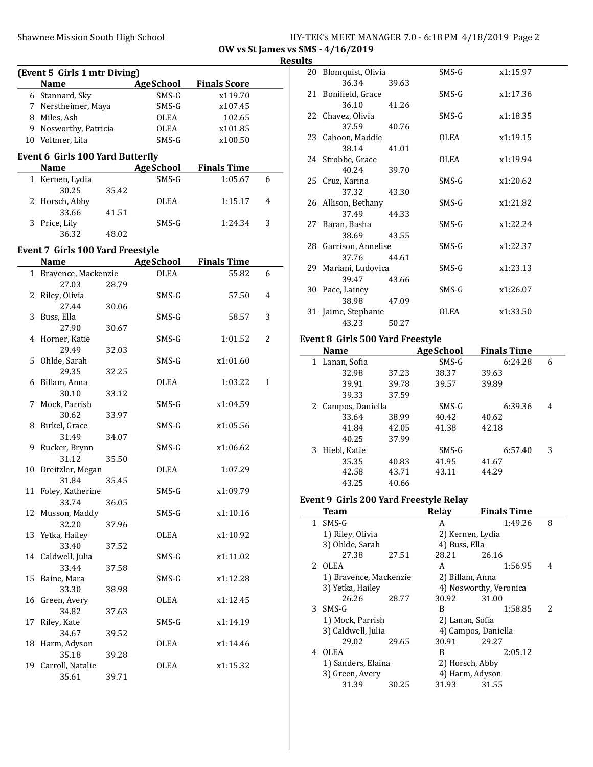# Shawnee Mission South High School HY-TEK's MEET MANAGER 7.0 - 6:18 PM 4/18/2019 Page 2

OW vs St James vs SMS - 4/16/2019 Result

|    | (Event 5 Girls 1 mtr Diving)            |       |                  |                     |   |
|----|-----------------------------------------|-------|------------------|---------------------|---|
|    | <b>Name</b>                             |       | <b>AgeSchool</b> | <b>Finals Score</b> |   |
|    | 6 Stannard, Sky                         |       | SMS-G            | x119.70             |   |
|    | 7 Nerstheimer, Maya                     |       | SMS-G            | x107.45             |   |
|    | 8 Miles, Ash                            |       | OLEA             | 102.65              |   |
|    | 9 Nosworthy, Patricia                   |       | OLEA             | x101.85             |   |
|    | 10 Voltmer, Lila                        |       | SMS-G            | x100.50             |   |
|    | Event 6 Girls 100 Yard Butterfly        |       |                  |                     |   |
|    | <b>Name</b>                             |       | <b>AgeSchool</b> | <b>Finals Time</b>  |   |
|    | 1 Kernen, Lydia                         |       | SMS-G            | 1:05.67             | 6 |
|    | 30.25                                   | 35.42 |                  |                     |   |
|    | 2 Horsch, Abby                          |       | OLEA             | 1:15.17             | 4 |
|    | 33.66                                   | 41.51 |                  |                     |   |
|    | 3 Price, Lily                           |       | SMS-G            | 1:24.34             | 3 |
|    | 36.32                                   | 48.02 |                  |                     |   |
|    |                                         |       |                  |                     |   |
|    | <b>Event 7 Girls 100 Yard Freestyle</b> |       |                  |                     |   |
|    | <b>Name</b>                             |       | <b>AgeSchool</b> | <b>Finals Time</b>  |   |
|    | 1 Bravence, Mackenzie                   |       | <b>OLEA</b>      | 55.82               | 6 |
|    | 27.03                                   | 28.79 |                  |                     |   |
| 2  | Riley, Olivia                           |       | SMS-G            | 57.50               | 4 |
|    | 27.44                                   | 30.06 |                  |                     |   |
| 3  | Buss, Ella                              |       | SMS-G            | 58.57               | 3 |
|    | 27.90                                   | 30.67 |                  |                     |   |
| 4  | Horner, Katie                           |       | SMS-G            | 1:01.52             | 2 |
| 5  | 29.49                                   | 32.03 |                  | x1:01.60            |   |
|    | Ohlde, Sarah<br>29.35                   | 32.25 | SMS-G            |                     |   |
|    | 6 Billam, Anna                          |       | OLEA             | 1:03.22             | 1 |
|    | 30.10                                   | 33.12 |                  |                     |   |
| 7  | Mock, Parrish                           |       | SMS-G            | x1:04.59            |   |
|    | 30.62                                   | 33.97 |                  |                     |   |
| 8  | Birkel, Grace                           |       | SMS-G            | x1:05.56            |   |
|    | 31.49                                   | 34.07 |                  |                     |   |
| 9  | Rucker, Brynn                           |       | SMS-G            | x1:06.62            |   |
|    | 31.12                                   | 35.50 |                  |                     |   |
|    | 10 Dreitzler, Megan                     |       | OLEA             | 1:07.29             |   |
|    | 31.84                                   | 35.45 |                  |                     |   |
| 11 | Foley, Katherine                        |       | SMS-G            | x1:09.79            |   |
|    | 33.74                                   | 36.05 |                  |                     |   |
| 12 | Musson, Maddy                           |       | $SMS-G$          | x1:10.16            |   |
|    | 32.20                                   | 37.96 |                  |                     |   |
| 13 | Yetka, Hailey                           |       | OLEA             | x1:10.92            |   |
|    | 33.40                                   | 37.52 |                  |                     |   |
| 14 | Caldwell, Julia                         |       | SMS-G            | x1:11.02            |   |
|    | 33.44                                   | 37.58 |                  |                     |   |
| 15 | Baine, Mara                             |       | SMS-G            | x1:12.28            |   |
|    | 33.30                                   | 38.98 |                  |                     |   |
| 16 | Green, Avery                            |       | OLEA             | x1:12.45            |   |
|    | 34.82                                   | 37.63 |                  |                     |   |
| 17 | Riley, Kate                             |       | SMS-G            | x1:14.19            |   |
|    | 34.67                                   | 39.52 | OLEA             | x1:14.46            |   |
| 18 | Harm, Adyson                            |       |                  |                     |   |
| 19 | 35.18<br>Carroll, Natalie               | 39.28 | OLEA             | x1:15.32            |   |
|    | 35.61                                   | 39.71 |                  |                     |   |
|    |                                         |       |                  |                     |   |

| ts |                       |       |         |          |
|----|-----------------------|-------|---------|----------|
|    | 20 Blomquist, Olivia  |       | $SMS-G$ | x1:15.97 |
|    | 36.34                 | 39.63 |         |          |
|    | 21 Bonifield, Grace   |       | $SMS-G$ | x1:17.36 |
|    | 36.10                 | 41.26 |         |          |
|    | 22 Chavez, Olivia     |       | SMS-G   | x1:18.35 |
|    | 37.59                 | 40.76 |         |          |
|    | 23 Cahoon, Maddie     |       | OLEA    | x1:19.15 |
|    | 38.14                 | 41.01 |         |          |
|    | 24 Strobbe, Grace     |       | OLEA    | x1:19.94 |
|    | 40.24                 | 39.70 |         |          |
|    | 25 Cruz, Karina       |       | SMS-G   | x1:20.62 |
|    | 37.32                 | 43.30 |         |          |
|    | 26 Allison, Bethany   |       | $SMS-G$ | x1:21.82 |
|    | 37.49                 | 44.33 |         |          |
|    | 27 Baran, Basha       |       | SMS-G   | x1:22.24 |
|    | 38.69                 | 43.55 |         |          |
|    | 28 Garrison, Annelise |       | $SMS-G$ | x1:22.37 |
|    | 37.76                 | 44.61 |         |          |
|    | 29 Mariani, Ludovica  |       | $SMS-G$ | x1:23.13 |
|    | 39.47                 | 43.66 |         |          |
|    | 30 Pace, Lainey       |       | SMS-G   | x1:26.07 |
|    | 38.98                 | 47.09 |         |          |
| 31 | Jaime, Stephanie      |       | OLEA    | x1:33.50 |
|    | 43.23                 | 50.27 |         |          |
|    |                       |       |         |          |

#### Event 8 Girls 500 Yard Freestyle

|    | <b>Name</b>      |       | <b>AgeSchool</b> | <b>Finals Time</b> |   |
|----|------------------|-------|------------------|--------------------|---|
| 1  | Lanan, Sofia     |       | SMS-G            | 6:24.28            | 6 |
|    | 32.98            | 37.23 | 38.37            | 39.63              |   |
|    | 39.91            | 39.78 | 39.57            | 39.89              |   |
|    | 39.33            | 37.59 |                  |                    |   |
| 2. | Campos, Daniella |       | $SMS-G$          | 6:39.36            | 4 |
|    | 33.64            | 38.99 | 40.42            | 40.62              |   |
|    | 41.84            | 42.05 | 41.38            | 42.18              |   |
|    | 40.25            | 37.99 |                  |                    |   |
| 3. | Hiebl, Katie     |       | $SMS-G$          | 6:57.40            | 3 |
|    | 35.35            | 40.83 | 41.95            | 41.67              |   |
|    | 42.58            | 43.71 | 43.11            | 44.29              |   |
|    | 43.25            | 40.66 |                  |                    |   |

#### Event 9 Girls 200 Yard Freestyle Relay

|   | Team                   |       | Relay           | <b>Finals Time</b>     |                          |
|---|------------------------|-------|-----------------|------------------------|--------------------------|
|   | 1 SMS-G                |       | A               | 1:49.26                | 8                        |
|   | 1) Riley, Olivia       |       |                 | 2) Kernen, Lydia       |                          |
|   | 3) Ohlde, Sarah        |       | 4) Buss, Ella   |                        |                          |
|   | 27.38                  | 27.51 | 28.21           | 26.16                  |                          |
|   | 2 OLEA                 |       | A               | 1:56.95                | 4                        |
|   | 1) Bravence, Mackenzie |       | 2) Billam, Anna |                        |                          |
|   | 3) Yetka, Hailey       |       |                 | 4) Nosworthy, Veronica |                          |
|   | 26.26                  | 28.77 | 30.92           | 31.00                  |                          |
|   | 3 SMS-G                |       | B               | 1:58.85                | $\overline{\mathcal{L}}$ |
|   | 1) Mock, Parrish       |       | 2) Lanan, Sofia |                        |                          |
|   | 3) Caldwell, Julia     |       |                 | 4) Campos, Daniella    |                          |
|   | 29.02                  | 29.65 | 30.91           | 29.27                  |                          |
| 4 | OLEA                   |       | B               | 2:05.12                |                          |
|   | 1) Sanders, Elaina     |       | 2) Horsch, Abby |                        |                          |
|   | 3) Green, Avery        |       |                 | 4) Harm, Adyson        |                          |
|   | 31.39                  | 30.25 | 31.93           | 31.55                  |                          |